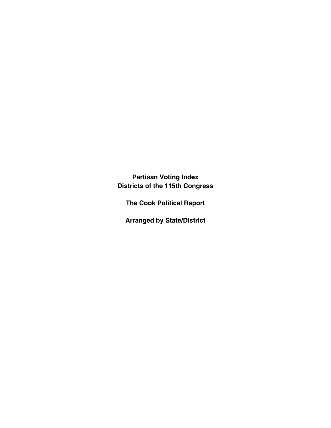**Partisan Voting Index Districts of the 115th Congress**

**The Cook Political Report**

**Arranged by State/District**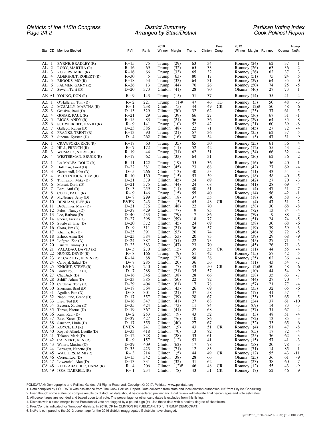### *Districts of the 115th Congress District Summary Partisan Voting Index Page 2A.2 Arranged by State/District Cook Political Report*

|                                                                             |                       |            | 2016                               |          | Pres                  | 2012                           |          | Trump                              |
|-----------------------------------------------------------------------------|-----------------------|------------|------------------------------------|----------|-----------------------|--------------------------------|----------|------------------------------------|
| Sta CD Member Elected                                                       | <b>PVI</b>            | Rank       | Winner Margin                      | Trump    | Clinton Cong          | Winner Margin Romney           |          | Obama Net%                         |
|                                                                             |                       |            |                                    |          |                       |                                |          |                                    |
| AL<br>BYRNE, BRADLEY (R)<br>-1                                              | $R+15$                | 75         | (29)<br>Trump                      | 63       | 34                    | Romney (24)                    | 62       | 37<br>$\mathbf{1}$                 |
| AL<br>2<br>ROBY, MARTHA (R)                                                 | $R+16$                | 69         | Trump<br>(32)<br>Trump             | 65       | 33                    | Romney (26)                    | 63       | 36<br>2                            |
| AL<br>3<br>ROGERS, MIKE (R)<br>AL<br>$\overline{4}$<br>ADERHOLT, ROBERT (R) | $R+16$<br>$R + 30$    | 66<br>5    | (33)<br>Trump<br>(63)              | 65<br>80 | 32<br>17              | Romney (26)<br>Romney (51)     | 62<br>75 | 37<br>3<br>5<br>24                 |
| 5<br>AL<br>BROOKS, MO (R)                                                   | $R+18$                | 53         | Trump<br>(33)                      | 64       | 31                    | Romney (29)                    | 64       | $\theta$<br>35                     |
| AL<br>6<br>PALMER, GARY (R)                                                 | $R + 26$              | 13         | Trump<br>(44)                      | 70       | 26                    | Romney (50)                    | 74       | $-5$<br>25                         |
| AL<br>7<br>Sewell, Terri (D)                                                | $D+20$                | 373        | Clinton<br>(41)                    | 28       | 70                    | Obama (46)                     | 27       | 73<br>1                            |
| AK AL YOUNG, DON (R)                                                        | $R + 9$               | 143        | Trump<br>(15)                      | 51       | 37                    | Romney (14)                    | 55       | $-4$<br>41                         |
| AZ<br>1<br>O'Halleran, Tom (D)                                              | $R + 2$               | 221        | Trump<br>$(1)$ #                   | 47       | TD<br>46              | Romney<br>(3)                  | 50       | $-3$<br>48                         |
| 2<br>AΖ<br>MCSALLY, MARTHA (R)                                              | $R+1$                 | 238        | Clinton<br>(5)                     | 44       | 49<br><b>CR</b>       | Romney $(2)$ #                 | 50       | -6<br>48                           |
| AΖ<br>3<br>Grijalva, Raul (D)<br>AZ 4<br>GOSAR, PAUL (R)                    | $D+13$<br>$R+21$      | 329<br>29  | Clinton<br>(30)<br>Trump<br>(39)   | 32<br>66 | 62<br>27              | Obama $(25)$<br>Romney (36)    | 37<br>67 | $-5$<br>61<br>$-1$<br>31           |
| AZ 5<br>BIGGS, ANDY (R)                                                     | $R+15$                | 83         | Trump<br>(21)                      | 56       | 36                    | Romney (29)                    | 64       | 35<br>$-8$                         |
| AZ 6<br>SCHWEIKERT, DAVID (R)                                               | $R + 9$               | 141        | Trump<br>(10)                      | 52       | 42                    | Romney (21)                    | 60       | $-8$<br>39                         |
| 7<br>AΖ<br>Gallego, Ruben (D)                                               | $D+23$                | 386        | Clinton<br>(48)                    | 22       | 71                    | Obama (45)                     | 27       | 72<br>$-4$                         |
| AZ 8<br>FRANKS, TRENT (R)<br>AZ 9<br>Sinema, Kyrsten (D)                    | $R+13$<br>$D+4$       | 90<br>262  | Trump<br>(21)<br>Clinton $(16)$    | 57<br>38 | 36<br>54              | Romney (25)<br>Obama<br>(5)    | 62<br>47 | 37<br>$-5$<br>$-9$<br>51           |
|                                                                             |                       |            |                                    |          |                       |                                |          |                                    |
| AR<br>1<br>CRAWFORD, RICK (R)<br>AR <sub>2</sub><br>HILL, FRENCH (R)        | $R+17$<br>$R+7$       | 60<br>172  | (35)<br>Trump<br>Trump<br>(11)     | 65<br>52 | 30<br>42              | Romney (25)<br>Romney (12)     | 61<br>55 | $\overline{4}$<br>36<br>$-2$<br>43 |
| AR 3<br>WOMACK, STEVE (R)                                                   | $R+19$                | 44         | Trump<br>(31)                      | 62       | 31                    | Romney (34)                    | 66       | 32<br>$-4$                         |
| AR 4<br>WESTERMAN, BRUCE (R)                                                | $R+17$                | 62         | Trump<br>(33)                      | 64       | 31                    | Romney (26)                    | 62       | $\mathfrak{2}$<br>36               |
| CA<br>-1<br>LA MALFA, DOUG (R)                                              | R+11                  | 122        | (19)<br>Trump                      | 55       | 36                    | Romney (16)                    | 56       | $-1$<br>40                         |
| CA 2<br>Huffman, Jared (D)                                                  | $D+22$                | 381        | Clinton<br>(45)                    | 23       | 68                    | Obama (42)                     | 27       | 69<br>$-4$                         |
| CA 3<br>Garamendi, John (D)                                                 | $D+5$                 | 266        | Clinton<br>(13)                    | 40       | 53                    | Obama (11)                     | 43       | $-3$<br>54                         |
| CA <sub>4</sub><br>MCCLINTOCK, TOM (R)                                      | $R+10$                | 130        | Trump<br>(15)                      | 53       | 39                    | Romney (18)                    | 58       | $-5$<br>40                         |
| CA 5<br>Thompson, Mike (D)<br>CA 6<br>Matsui, Doris (D)                     | $D+21$<br>$D+21$      | 379<br>375 | Clinton<br>(45)<br>Clinton<br>(44) | 24<br>24 | 69<br>68              | Obama (42)<br>Obama (41)       | 27<br>28 | $-3$<br>70<br>$-4$<br>69           |
| CA 7<br>Bera, Ami (D)                                                       | $D+3$                 | 259        | Clinton $(11)$                     | 40       | 51                    | Obama<br>(4)                   | 47       | $-7$<br>51                         |
| CA 8<br>$COOK$ , PAUL $(R)$                                                 | $R + 9$               | 146        | Trump<br>(15)                      | 55       | 40                    | Romney (14)                    | 56       | 42<br>$-1$                         |
| CA 9<br>McNerney, Jerry (D)                                                 | $D+8$                 | 299        | Clinton $(18)$                     | 37       | 55                    | Obama (18)                     | 40       | $-3$<br>58                         |
| CA 10<br>DENHAM, JEFF (R)<br>CA 11                                          | <b>EVEN</b><br>$D+21$ | 243<br>376 | Clinton<br>(3)<br>Clinton<br>(48)  | 45<br>22 | 48<br><b>CR</b><br>70 | Obama<br>(4)<br>Obama<br>(38)  | 47<br>30 | $-2$<br>51<br>$-8$<br>68           |
| DeSaulnier, Mark (D)<br>CA 12<br>Pelosi, Nancy (D)                          | $D+37$                | 429        | Clinton<br>(77)                    | 9        | 85                    | Obama<br>(72)                  | 13       | $-4$<br>84                         |
| CA 13 Lee, Barbara (D)                                                      | $D+40$                | 433        | Clinton<br>(79)                    | 7        | 86                    | Obama<br>(79)                  | 9        | 88<br>$-2$                         |
| CA 14<br>Speier, Jackie (D)                                                 | $D+27$                | 398        | Clinton<br>(59)                    | 18       | 77                    | Obama<br>(51)                  | 24       | $-5$<br>74                         |
| CA 15<br>Swalwell, Eric (D)                                                 | $D+20$                | 372        | Clinton<br>(45)                    | 24       | 69                    | Obama<br>(38)                  | 30       | $-6$<br>68                         |
| $CA$ 16 Costa, Jim (D)<br>CA 17<br>Khanna, Ro (D)                           | $D+9$<br>$D+25$       | 311<br>391 | Clinton<br>(21)<br>Clinton<br>(53) | 36<br>20 | 57<br>74              | Obama<br>(19)<br>Obama<br>(46) | 39<br>26 | $-3$<br>59<br>$-5$<br>72           |
| CA 18<br>Eshoo, Anna (D)                                                    | $D+23$                | 384        | Clinton $(53)$                     | 20       | 73                    | Obama<br>(39)                  | 29       | $-9$<br>68                         |
| CA 19<br>Lofgren, Zoe $(D)$                                                 | $D+24$                | 387        | Clinton<br>(51)                    | 22       | 73                    | Obama<br>(45)                  | 27       | $-5$<br>71                         |
| CA 20 Panetta, Jimmy (D)                                                    | $D+23$                | 383        | Clinton<br>(47)                    | 23       | 70                    | Obama<br>(45)                  | 26       | $-3$<br>71                         |
| CA 21 VALADAO, DAVID (R)                                                    | $D+5$                 | 270        | Clinton<br>(15)                    | 39       | 55<br><b>CR</b>       | Obama (11)                     | 44       | $-4$<br>55                         |
| CA 22 NUNES, DEVIN (R)<br>CA 23 MCCARTHY, KEVIN (R)                         | $R+8$<br>$R+14$       | 166<br>88  | Trump<br>(9)<br>Trump<br>(22)      | 51<br>58 | 42<br>36              | Romney (15)<br>Romney (25)     | 57<br>62 | 42<br>$-5$<br>36<br>$-4$           |
| CA 24<br>Carbajal, Salud (D)                                                | $D+7$                 | 285        | Clinton<br>(20)                    | 36       | 56                    | Obama $(11)$                   | 43       | $-7$<br>54                         |
| CA 25<br>KNIGHT, STEVE (R)                                                  | <b>EVEN</b>           | 240        | Clinton<br>(7)                     | 43       | 50<br><b>CR</b>       | Romney $(2)$ #                 | 50       | 48<br>$-6$                         |
| CA 26<br>Brownley, Julia (D)                                                | $D+7$                 | 288        | Clinton<br>(21)                    | 35       | 57                    | Obama (10)                     | 44       | $-9$<br>54<br>$-7$                 |
| CA 27<br>Chu, Judy (D)<br>CA 28 Schiff, Adam (D)                            | $D+16$<br>$D+23$      | 346<br>385 | Clinton<br>(38)<br>Clinton $(50)$  | 28<br>22 | 66<br>72              | Obama<br>(28)<br>Obama (44)    | 35<br>27 | 63<br>70<br>$-4$                   |
| CA 29 Cardenas, Tony (D)                                                    | $D+29$                | 404        | Clinton $(61)$                     | 17       | 78                    | Obama (57)                     | 21       | $-4$<br>77                         |
| CA 30 Sherman, Brad (D)                                                     | $D+18$                | 364        | Clinton $(43)$                     | 26       | 69                    | Obama (33)                     | 32       | 65<br>-6                           |
| CA 31<br>Aguilar, Pete (D)                                                  | $D+8$                 | 301        | Clinton $(21)$                     | 37       | 58                    | Obama (17)                     | 41       | 57<br>$-4$                         |
| CA 32 Napolitano, Grace (D)<br>CA 33<br>Lieu, Ted (D)                       | $D+17$<br>$D+16$      | 357<br>347 | Clinton $(39)$<br>Clinton $(41)$   | 28<br>27 | 67<br>68              | Obama (33)<br>Obama<br>(24)    | 33<br>37 | 65<br>-5<br>$-10$<br>61            |
| CA 34 Becerra, Xavier (D)                                                   | $D+35$                | 424        | Clinton $(73)$                     | 11       | 84                    | Obama (69)                     | 14       | 83<br>$-3$                         |
| CA 35 Torres, Norma (D)                                                     | $D+19$                | 367        | Clinton $(41)$                     | 27       | 68                    | Obama (37)                     | 31       | 67<br>$-4$                         |
| $CA$ 36 Ruiz, Raul (D)                                                      | $D+2$                 | 253        | Clinton<br>(9)                     | 43       | 52                    | Obama<br>(3)                   | 48       | 51<br>$-4$                         |
| CA 37<br>Bass, Karen (D)                                                    | $D+37$                | 427        | Clinton $(76)$                     | 10       | 86                    | Obama (72)                     | 13       | 85<br>$-3$                         |
| CA 38 Sanchez, Linda (D)<br>CA 39<br>ROYCE, ED(R)                           | $D+17$<br>EVEN        | 355<br>241 | Clinton<br>(40)<br>Clinton<br>(9)  | 27<br>43 | 67<br>51<br><b>CR</b> | Obama (32)<br>Romney (4)       | 33<br>51 | $-6$<br>65<br>$-8$<br>47           |
| CA 40 Roybal-Allard, Lucille (D)                                            | $D+33$                | 418        | Clinton $(70)$                     | 13       | 82                    | Obama (65)                     | 17       | 82<br>$-4$                         |
| CA 41 Takano, Mark (D)                                                      | $D+12$                | 328        | Clinton<br>(28)                    | 33       | 61                    | Obama $(25)$                   | 36       | $-3$<br>$-3$<br>62                 |
| CA 42 CALVERT, KEN (R)                                                      | $R + 9$               | 157        | Trump<br>(12)                      | 53       | 41                    | Romney (15)                    | 57       | 41                                 |
| CA 43 Waters, Maxine (D)<br>CA 44 Barragan, Nanette (D)                     | $D+29$<br>$D+35$      | 409<br>423 | Clinton $(62)$<br>Clinton $(71)$   | 17<br>12 | 78<br>83              | Obama (58)<br>Obama (71)       | 20<br>14 | $-3$<br>78<br>85<br>$-1$           |
| CA 45 WALTERS, MIMI (R)                                                     | $R+3$                 | 214        | Clinton<br>(5)                     | 44       | 49<br><b>CR</b>       | Romney (12)                    | 55       | 43<br>-11                          |
| $CA$ 46 Correa, Lou $(D)$                                                   | $D+15$                | 342        | Clinton $(38)$                     | 28       | 66                    | Obama $(25)$                   | 36       | $-9$<br>61                         |
| CA 47 Lowenthal, Alan (D)                                                   | $D+13$                | 331        | Clinton<br>(32)                    | 31       | 62                    | Obama $(23)$                   | 38       | $-7$<br>60                         |
| CA 48 ROHRABACHER, DANA (R)                                                 | $R+4$                 | 206        | Clinton<br>$(2)$ #                 | 46<br>43 | 48<br><b>CR</b><br>51 | Romney (12)                    | 55       | 43<br>$-9$<br>$-9$<br>46           |
| CA 49 ISSA, DARRELL (R)                                                     | $R+1$                 | 234        | Clinton<br>(8)                     |          | CR.                   | Romney (7)                     | 52       |                                    |

POLIDATA ® Demographic and Political Guides. All Rights Reserved. Copyright © 2017. Polidata. www.polidata.org

1. Data compiled by POLIDATA with assistance from The Cook Political Report. Data collected from state and local election authorities. NY from Skyline Consulting.

2. Even though some states do compile results by district, all data should be considered preliminary. Final review will tabulate final percentages and vote estimates.

3. All percentages are rounded and based upon total vote. The percentage for other candidates is excluded from this listing.

4. Districts with a close margin in the Presidential vote are flagged by a pound sign (#). Use these data with a healthy degree of skepticism.<br>5. Pres/Cong is indicated for "turnover" districts. In 2016, CR for CLINTON REP

6. Net% is compared to the 2012 percentage for the 2016 district; reaggregated if districts have changed.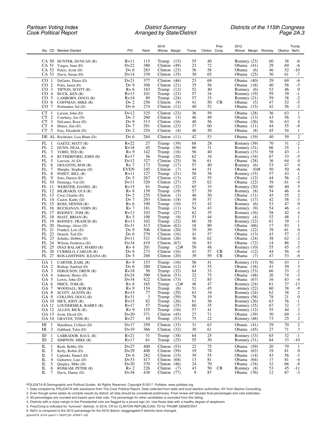|                                                                                |                    |            | 2016                                |          |              | 2012<br>Pres                               |          |            | Trump                    |
|--------------------------------------------------------------------------------|--------------------|------------|-------------------------------------|----------|--------------|--------------------------------------------|----------|------------|--------------------------|
| Sta CD Member Elected                                                          | PVI                | Rank       | Winner Margin                       | Trump    | Clinton Cong | Winner Margin Romney                       |          | Obama Net% |                          |
| CA 50 HUNTER, DUNCAN (R)                                                       | R+11               | 115        | Trump $(15)$                        | 55       | 40           | Romney $(23)$                              | 60       | 38         | -6                       |
| CA 51<br>Vargas, Juan (D)                                                      | $D+22$             | 380        | (49)<br>Clinton                     | 23       | 72           | Obama (41)                                 | 29       | 69         | -6                       |
| CA 52<br>Peters, Scott (D)<br>CA 53<br>Davis, Susan (D)                        | $D+6$<br>$D+14$    | 283<br>339 | Clinton<br>(23)<br>Clinton<br>(35)  | 36<br>30 | 58<br>65     | Obama<br>(6)<br>Obama<br>(25)              | 46<br>36 | 52<br>61   | $-10$<br>$-7$            |
| CO<br>1<br>DeGette, Diana (D)                                                  | $D+21$             | 377        | Clinton                             | 23       | 69           | Obama<br>(40)                              | 29       | 69         | -6                       |
| 2<br>CO.<br>Polis, Jared (D)                                                   | $D+9$              | 308        | (46)<br>Clinton<br>(21)             | 35       | 56           | Obama (18)                                 | 40       | 58         | $-5$                     |
| CO <sub>3</sub><br>TIPTON, SCOTT (R)                                           | $R+6$              | 183        | Trump<br>(12)                       | 52       | 40           | Romney (6)                                 | 52       | 46         | $\overline{0}$           |
| CO<br>$\overline{4}$<br>BUCK, KEN (R)<br>CO <sub>5</sub>                       | $R+13$<br>$R+14$   | 101        | Trump<br>(23)                       | 57<br>57 | 34           | Romney (19)                                | 59<br>59 | 39<br>38   | $-1$                     |
| LAMBORN, DOUG (R)<br>CO <sub>6</sub><br>COFFMAN, MIKE (R)                      | $D+2$              | 89<br>256  | (24)<br>Trump<br>Clinton<br>(9)     | 41       | 33<br>50     | Romney $(21)$<br><b>CR</b><br>Obama<br>(5) | 47       | 52         | $-2$<br>$-5$             |
| CO <sub>7</sub><br>Perlmutter, Ed (D)                                          | $D+6$              | 274        | Clinton<br>(12)                     | 40       | 52           | Obama<br>(15)                              | 42       | 56         | $-2$                     |
| CT<br>$\mathbf{1}$<br>Larson, John (D)                                         | $D+12$             | 325        | (23)<br>Clinton                     | 36       | 59           | Obama<br>(28)                              | 36       | 63         | $\mathbf{1}$             |
| CT<br>$\overline{c}$<br>Courtney, Joe (D)<br>3<br>CT<br>DeLauro, Rosa (D)      | $D+3$<br>$D+9$     | 260<br>313 | Clinton<br>(3)<br>Clinton $(16)$    | 46<br>40 | 49<br>56     | Obama<br>(13)<br>Obama<br>(26)             | 43<br>36 | 56<br>63   | 3<br>4                   |
| $\overline{4}$<br>CT<br>Himes, $Jim (D)$                                       | $D+7$              | 291        | Clinton<br>(23)                     | 37       | 60           | Obama<br>(11)                              | 44       | 55         | -8                       |
| CT<br>5<br>Esty, Elizabeth (D)                                                 | $D+2$              | 254        | Clinton<br>(4)                      | 46       | 50           | (8)<br>Obama                               | 45       | 54         | 1                        |
| DE AL Rochester, Lisa Blunt (D)                                                | $D+6$              | 284        | Clinton<br>(11)                     | 42       | 53           | (19)<br>Obama                              | 40       | 59         | $\overline{c}$           |
| FL<br>-1<br>GAETZ, MATT (R)                                                    | $R + 22$           | 27         | (39)<br>Trump                       | 68       | 28           | Romney (39)                                | 70       | 31         | $-2$                     |
| $\overline{c}$<br>FL<br>DUNN, NEAL (R)<br>FL<br>3<br>YOHO, TED $(R)$           | $R+18$<br>$R + 9$  | 45<br>142  | Trump<br>(36)<br>Trump<br>(16)      | 66<br>56 | 31<br>40     | Romney (31)<br>Romney $(15)$               | 66<br>58 | 35<br>43   | -1<br>$-1$               |
| FL<br>4<br>RUTHERFORD, JOHN (R)                                                | $R+17$             | 56         | (28)<br>Trump                       | 62       | 34           | Romney (34)                                | 67       | 33         | -5                       |
| 5<br>FL<br>Lawson, Al $(D)$                                                    | $D+12$             | 327        | Clinton<br>(25)                     | 36       | 61           | Obama (28)                                 | 36       | 64         | $\overline{0}$           |
| FL<br>6<br>DESANTIS, RON (R)<br>7<br>FL<br>Murphy, Stephanie (D)               | $R+7$<br>EVEN      | 173<br>245 | (17)<br>Trump<br>(7)<br>Clinton     | 57<br>44 | 40<br>51     | Romney $(6)$<br>$(0)$ #                    | 53<br>50 | 47<br>50   | 4<br>-6                  |
| FL<br>8<br>POSEY, BILL (R)                                                     | $R+11$             | 127        | Trump<br>(21)                       | 58       | 38           | Obama<br>Romney (15)                       | 57       | 43         | -1                       |
| FL<br>9<br>Soto, Darren (D)                                                    | $D+5$              | 267        | Clinton<br>(13)                     | 42       | 55           | Obama (12)                                 | 44       | 56         | $-2$                     |
| FL<br>10<br>Demings, Val (D)                                                   | $D+11$             | 320        | (27)<br>Clinton                     | 35       | 62           | Obama (22)                                 | 39       | 61         | $-4$                     |
| FL 11<br>WEBSTER, DANIEL (R)<br>FL 12<br>BILIRAKIS, GUS (R)                    | $R+15$<br>$R+8$    | 81<br>159  | Trump<br>(32)<br>(19)<br>Trump      | 65<br>57 | 33<br>39     | Romney (20)<br>Romney (8)                  | 60<br>54 | 40<br>46   | 5<br>$\overline{4}$      |
| FL 13<br>Crist, Charlie (D)                                                    | $D+2$              | 255        | (3)<br>Clinton                      | 46       | 50           | Obama $(11)$                               | 45       | 55         | $\overline{c}$           |
| FL 14<br>Castor, Kathy (D)                                                     | $D+7$              | 293        | Clinton<br>(18)                     | 39       | 57           | Obama $(17)$                               | 42       | 58         | $-3$                     |
| FL 15<br>ROSS, DENNIS (R)<br>FL<br>16<br>BUCHANAN, VERN (R)                    | $R+6$<br>$R+7$     | 190<br>181 | Trump<br>(10)<br>Trump<br>(11)      | 53<br>54 | 43<br>43     | Romney $(6)$<br>Romney (9)                 | 53<br>54 | 47<br>46   | $\boldsymbol{0}$<br>$-1$ |
| FL 17<br>ROONEY, TOM (R)                                                       | $R+13$             | 103        | Trump<br>(27)                       | 62       | 35           | Romney $(16)$                              | 58       | 42         | 4                        |
| FL 18 MAST, BRIAN (R)                                                          | $R + 5$            | 198        | Trump<br>(9)                        | 53       | 44           | Romney $(4)$                               | 52       | 48         | 1                        |
| FL<br>19<br>ROONEY, FRANCIS (R)<br>FL 20<br>Hastings, Alcee (D)                | $R+13$<br>$D+31$   | 102<br>413 | (22)<br>Trump<br>Clinton<br>(62)    | 60<br>18 | 38<br>80     | Romney (22)<br>Obama<br>(66)               | 61<br>17 | 39<br>83   | $-1$<br>1                |
| FL 21<br>Frankel, Lois (D)                                                     | $D+9$              | 306        | Clinton<br>(20)                     | 39       | 59           | Obama<br>(22)                              | 39       | 61         | $\boldsymbol{0}$         |
| 22<br>FL<br>Deutch, Ted (D)                                                    | $D+6$              | 279        | Clinton<br>(16)                     | 41       | 57           | Obama<br>(13)                              | 43       | 57         | $-2$                     |
| FL 23<br>Schultz, Debbie (D)<br>FL 24                                          | $D+11$<br>$D+34$   | 321<br>419 | Clinton<br>(26)<br>Clinton<br>(67)  | 36<br>16 | 62<br>83     | Obama<br>(24)<br>Obama<br>(72)             | 38<br>14 | 62<br>86   | $-\frac{2}{2}$           |
| Wilson, Frederica (D)<br>FL<br>25<br>DIAZ-BALART, MARIO (R)                    | $R+4$              | 201        | $(2)$ #<br>Trump                    | 50       | 48           | Romney (10)                                | 55       | 45         | $-5$                     |
| FL 26 CURBELO, CARLOS (R)                                                      | $D+6$              | 273        | Clinton $(16)$                      | 41       | 57           | CR.<br>Obama<br>(12)                       | 44       | 56         | $-4$                     |
| FL 27<br>ROS-LEHTINEN, ILEANA (R)                                              | $D+5$              | 268        | Clinton<br>(20)                     | 39       | 59           | <b>CR</b><br>Obama<br>(7)                  | 47       | 53         | $\mbox{-}8$              |
| GA<br>1<br>CARTER, EARL (R)<br>GA 2<br>Bishop, Sanford (D)                     | $R + 9$<br>$D+6$   | 153<br>280 | Trump<br>(16)<br>Clinton<br>(12)    | 56<br>43 | 41<br>55     | Romney (13)<br>Obama (18)                  | 56<br>41 | 43<br>59   | $\mathbf{1}$<br>3        |
| GA 3<br>FERGUSON, DREW (R)                                                     | $R+18$             | 50         | Trump<br>(32)                       | 64       | 33           | Romney (33)                                | 66       | 33         | $-2$                     |
| GA 4<br>Johnson, Henry (D)                                                     | $D+24$             | 390        | Clinton<br>(53)                     | 22       | 75           | Obama (48)                                 | 26       | 74         | $-3$                     |
| GA 5<br>Lewis, John $(D)$<br>GA 6<br>PRICE, TOM (R)                            | $D+34$<br>$R+8$    | 422<br>165 | (73)<br>Clinton<br>Trump<br>$(2)$ # | 12<br>48 | 85<br>47     | Obama (67)<br>Romney (24)                  | 16<br>61 | 83<br>37   | $-4$<br>$-13$            |
| GA 7<br>WOODALL, ROB (R)                                                       | $R + 9$            | 154        | Trump<br>(6)                        | 51       | 45           | Romney (22)                                | 60       | 38         | -9                       |
| GA 8<br>SCOTT, AUSTIN (R)                                                      | $R+15$             | 77         | (29)<br>Trump                       | 63       | 34           | Romney (24)                                | 62       | 38         | $\overline{c}$           |
| GA 9<br>COLLINS, DOUG (R)<br>GA 10 HICE, JODY (R)                              | $R + 31$<br>$R+15$ | 3<br>82    | Trump<br>(59)<br>(26)<br>Trump      | 78<br>61 | 19<br>36     | Romney (58)<br>Romney $(26)$               | 78<br>63 | 21<br>36   | $\boldsymbol{0}$<br>$-1$ |
| GA 11 LOUDERMILK, BARRY (R)                                                    | $R+17$             | 57         | Trump<br>(25)                       | 60       | 35           | Romney (35)                                | 67       | 32         | $^{\rm -7}$              |
| GA 12 ALLEN, RICK (R)                                                          | $R + 9$            | 155        | Trump<br>(16)                       | 57       | 41           | Romney (12)                                | 55       | 44         | $\frac{2}{3}$            |
| GA 13 Scott, David (D)<br>GA 14                                                | $D+20$<br>$R+27$   | 371<br>10  | Clinton $(45)$<br>Trump<br>(53)     | 27<br>75 | 71<br>22     | Obama (39)<br>Romney (48)                  | 30<br>73 | 69<br>25   | $\overline{2}$           |
| GRAVES, TOM (R)<br>HІ<br>Hanabusa, Colleen (D)                                 | $D+17$             | 359        | (33)<br>Clinton                     | 31       | 63           | Obama (41)                                 | 29       | 70         | $\boldsymbol{2}$         |
| 1<br>2<br>HІ<br>Gabbard, Tulsi (D)                                             | $D+19$             | 366        | Clinton<br>(32)                     | 30       | 61           | Obama $(45)$                               | 27       | 71         | 3                        |
| ID<br>$\mathbf{1}$<br>LABRADOR, RAUL (R)<br>ID<br>2<br>SIMPSON, MIKE (R)       | $R+21$<br>$R+17$   | 31<br>61   | Trump<br>(38)<br>(25)<br>Trump      | 64<br>55 | 25<br>30     | Romney (33)<br>Romney (31)                 | 65<br>64 | 32<br>33   | $-1$<br>$-10$            |
| IL<br>$\mathbf{1}$<br>Rush, Bobby (D)                                          | $D+27$             | 400        | Clinton $(53)$                      | 22       | $75\,$       | Obama<br>(59)                              | 20       | 79         | 1                        |
| IL<br>2<br>Kelly, Robin (D)                                                    | $D+29$             | 408        | Clinton $(59)$                      | 19       | 78           | Obama (62)                                 | 19       | 81         | $\boldsymbol{0}$         |
| 3<br>IL<br>Lipinski, Daniel (D)<br>IL<br>$\overline{4}$<br>Gutierrez, Luis (D) | $D+6$<br>$D+33$    | 282<br>417 | Clinton $(15)$<br>Clinton $(68)$    | 39<br>13 | 55<br>81     | Obama (14)<br>Obama (64)                   | 43<br>17 | 56<br>81   | $-3$<br>$-4$             |
| 5<br>IL<br>Quigley, Mike (D)                                                   | $D+20$             | 370        | Clinton $(46)$                      | 24       | 70           | Obama (34)                                 | 32       | 66         | $\mbox{-}8$              |
| IL<br>6<br>ROSKAM, PETER (R)                                                   | $R+2$              | 226        | Clinton<br>(7)                      | 43       | 50           | CR<br>Romney (8)                           | 53       | 45         | -11                      |
| IL<br>7<br>Davis, Danny (D)                                                    | $D+38$             | 430        | Clinton $(77)$                      | 9        | 87           | Obama (76)                                 | 12       | $87\,$     | $-3$                     |

POLIDATA ® Demographic and Political Guides. All Rights Reserved. Copyright © 2017. Polidata. www.polidata.org

1. Data compiled by POLIDATA with assistance from The Cook Political Report. Data collected from state and local election authorities. NY from Skyline Consulting.

2. Even though some states do compile results by district, all data should be considered preliminary. Final review will tabulate final percentages and vote estimates.

3. All percentages are rounded and based upon total vote. The percentage for other candidates is excluded from this listing.

4. Districts with a close margin in the Presidential vote are flagged by a pound sign (#). Use these data with a healthy degree of skepticism.

5. Pres/Cong is indicated for "turnover" districts. In 2016, CR for CLINTON REPUBLICAN; TD for TRUMP DEMOCRAT.

6. Net% is compared to the 2012 percentage for the 2016 district; reaggregated if districts have changed.

[prpvi2016\_81cH~pspvi11~QD07] [81~EDKEY~2A]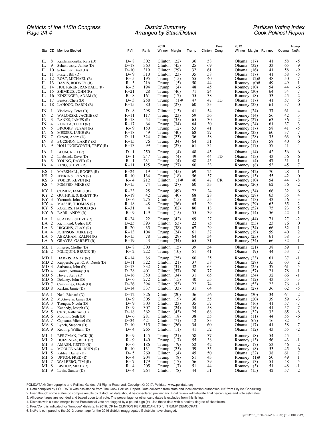### *Districts of the 115th Congress District Summary Partisan Voting Index Page 2A.4 Arranged by State/District Cook Political Report*

| Sta CD Member Elected                                                                                                                                                                                                                                                                                                                                                                 | <b>PVI</b>                                                                                                | Rank                                                                    | 2016<br>Winner Margin                                                                                                                                                                          | Trump                                                          | Pres<br>Clinton Cong                                                 | 2012<br>Winner Margin Romney                                                                                                                                                                                                                         | Trump<br>Obama Net%                                                                                                                                                     |
|---------------------------------------------------------------------------------------------------------------------------------------------------------------------------------------------------------------------------------------------------------------------------------------------------------------------------------------------------------------------------------------|-----------------------------------------------------------------------------------------------------------|-------------------------------------------------------------------------|------------------------------------------------------------------------------------------------------------------------------------------------------------------------------------------------|----------------------------------------------------------------|----------------------------------------------------------------------|------------------------------------------------------------------------------------------------------------------------------------------------------------------------------------------------------------------------------------------------------|-------------------------------------------------------------------------------------------------------------------------------------------------------------------------|
| IL<br>8<br>Krishnamoorthi, Raja (D)<br>IL<br>9<br>Schakowsky, Janice (D)<br>IL<br>10<br>Schneider, Brad (D)<br>IL<br>11<br>Foster, Bill (D)<br>IL<br>12<br>BOST, MICHAEL (R)<br>IL<br>13 DAVIS, RODNEY (R)<br>IL<br>14<br>HULTGREN, RANDALL (R)<br>IL<br>15<br>SHIMKUS, JOHN (R)<br>IL<br>16<br>KINZINGER, ADAM (R)<br>IL<br>17<br>Bustos, Cheri (D)<br>IL<br>18<br>LAHOOD, DARIN (R) | $D+8$<br>$D+18$<br>$D+10$<br>$D+9$<br>$R + 5$<br>$R + 3$<br>$R + 5$<br>$R+21$<br>$R+8$<br>$D+3$<br>$R+15$ | 302<br>363<br>319<br>310<br>195<br>216<br>194<br>28<br>161<br>258<br>80 | Clinton $(22)$<br>Clinton $(45)$<br>Clinton<br>(29)<br>Clinton<br>(23)<br>Trump<br>(15)<br>Trump<br>(5)<br>Trump<br>(4)<br>Trump<br>(46)<br>Trump<br>(17)<br>Trump<br>$(1)$ #<br>Trump<br>(27) | 36<br>25<br>32<br>35<br>55<br>50<br>48<br>71<br>55<br>47<br>60 | 58<br>69<br>61<br>58<br>40<br>44<br>45<br>24<br>38<br>47<br>TD<br>33 | Obama $(17)$<br>41<br>33<br>Obama<br>(32)<br>Obama<br>(16)<br>41<br>Obama<br>(17)<br>41<br>48<br>Obama<br>$(2)$ #<br>49<br>Romney $(0)$ #<br>Romney $(10)$<br>54<br>Romney (30)<br>64<br>Romney (8)<br>53<br>Obama (17)<br>41<br>Romney $(23)$<br>61 | 58<br>-5<br>$-9$<br>65<br>$-9$<br>58<br>58<br>$-5$<br>50<br>7<br>49<br>1<br>44<br>-6<br>$\tau$<br>34<br>$\mathfrak{2}$<br>45<br>57<br>6<br>37<br>0                      |
| IN<br>Visclosky, Peter (D)<br>-1<br>$\overline{c}$<br>IN<br>WALORSKI, JACKIE (R)<br>3<br>IN<br>BANKS, JAMES (R)<br>IN<br>4<br>ROKITA, TODD (R)<br>5<br>IN<br>BROOKS, SUSAN (R)<br>6<br>IN<br>MESSER, LUKE (R)<br>7<br>IN<br>Carson, Andre (D)<br>8<br>IN<br><b>BUCSHON, LARRY (R)</b><br>IN<br>9<br>HOLLINGSWORTH, TREY (R)                                                           | $D+8$<br>$R+11$<br>$R+18$<br>$R+17$<br>$R + 9$<br>$R+18$<br>$D+11$<br>$R+15$<br>$R+13$                    | 298<br>117<br>54<br>64<br>150<br>49<br>324<br>76<br>99                  | (13)<br>Clinton<br>Trump<br>(23)<br>Trump<br>(35)<br>Trump<br>(34)<br>Trump<br>(12)<br>Trump<br>(40)<br>Clinton<br>(23)<br>Trump<br>(34)<br>Trump<br>(27)                                      | 41<br>59<br>65<br>64<br>53<br>68<br>36<br>64<br>61             | 54<br>36<br>30<br>30<br>41<br>27<br>58<br>31<br>34                   | 37<br>Obama (24)<br>Romney $(14)$<br>56<br>Romney $(27)$<br>63<br>Romney (24)<br>61<br>Romney $(17)$<br>58<br>Romney $(23)$<br>60<br>Obama (28)<br>35<br>58<br>Romney (19)<br>57<br>Romney (17)                                                      | 4<br>61<br>3<br>42<br>$\overline{c}$<br>36<br>3<br>37<br>41<br>-5<br>$\overline{7}$<br>37<br>$\boldsymbol{0}$<br>63<br>40<br>6<br>41<br>4                               |
| ΙA<br>-1<br>BLUM, ROD (R)<br>$\overline{c}$<br>IA<br>Loebsack, Dave (D)<br>3<br>IA<br>YOUNG, DAVID (R)<br>IA<br>4<br>KING, STEVE (R)                                                                                                                                                                                                                                                  | $D+1$<br>$D+1$<br>$R+1$<br>$R+11$                                                                         | 250<br>247<br>231<br>125                                                | (4)<br>Trump<br>Trump<br>(4)<br>Trump<br>(4)<br>Trump<br>(27)                                                                                                                                  | 48<br>49<br>48<br>60                                           | 45<br>44<br>TD<br>45<br>33                                           | 42<br>Obama $(14)$<br>43<br>Obama $(13)$<br>Obama<br>47<br>(4)<br>53<br>Romney<br>(8)                                                                                                                                                                | 6<br>56<br>56<br>6<br>51<br>1<br>45<br>7                                                                                                                                |
| KS<br>-1<br>MARSHALL, ROGER (R)<br>$\overline{2}$<br>KS<br>JENKINS, LYNN (R)<br>3<br>KS<br>YODER, KEVIN (R)<br>KS 4<br>POMPEO, MIKE (R)                                                                                                                                                                                                                                               | $R + 24$<br>$R+10$<br>$R+4$<br>$R+15$                                                                     | 19<br>134<br>212<br>74                                                  | (45)<br>Trump<br>Trump<br>(18)<br>Clinton<br>$(1)$ #<br>Trump<br>(27)                                                                                                                          | 69<br>56<br>46<br>60                                           | 24<br>37<br>47<br>CR<br>33                                           | 70<br>Romney (42)<br>Romney (13)<br>55<br>54<br>Romney $(10)$<br>62<br>Romney (26)                                                                                                                                                                   | 28<br>$-1$<br>$\boldsymbol{0}$<br>42<br>44<br>-8<br>36<br>$-2$                                                                                                          |
| KY 1<br>COMER, JAMES (R)<br>KY 2<br>GUTHRIE, S. BRETT (R)<br>KY 3<br>Yarmuth, John (D)<br>KY 4<br>MASSIE, THOMAS (R)<br>KY 5<br>ROGERS, HAROLD (R)<br>KY 6<br>BARR, ANDY (R)                                                                                                                                                                                                          | $R + 23$<br>$R+19$<br>$D+6$<br>$R+18$<br>$R + 31$<br>$R + 9$                                              | 25<br>42<br>275<br>48<br>4<br>149                                       | (49)<br>Trump<br>Trump<br>(40)<br>Clinton<br>(15)<br>Trump<br>(36)<br>Trump<br>(62)<br>Trump<br>(15)                                                                                           | 72<br>68<br>40<br>65<br>80<br>55                               | 24<br>28<br>55<br>29<br>18<br>39                                     | Romney (34)<br>66<br>Romney (28)<br>63<br>Obama $(13)$<br>43<br>Romney (29)<br>63<br>Romney (52)<br>75<br>56<br>Romney (14)                                                                                                                          | 32<br>6<br>35<br>4<br>$-3$<br>56<br>$\overline{c}$<br>35<br>5<br>23<br>42<br>$-1$                                                                                       |
| $LA$ 1<br>SCALISE, STEVE (R)<br>$\overline{c}$<br>LA<br>Richmond, Cedric (D)<br>3<br>LA.<br>HIGGINS, $CLAY(R)$<br>LA<br>4<br>JOHNSON, MIKE (R)<br>5<br>LA<br>ABRAHAM, RALPH (R)<br>LA 6<br>GRAVES, GARRET (R)                                                                                                                                                                         | $R + 24$<br>$D+25$<br>$R+20$<br>$R+13$<br>$R+15$<br>$R+19$                                                | 22<br>393<br>35<br>104<br>78<br>43                                      | Trump<br>(42)<br>Clinton<br>(53)<br>(38)<br>Trump<br>Trump<br>(24)<br>Trump<br>(29)<br>Trump<br>(34)                                                                                           | 69<br>22<br>67<br>61<br>64<br>65                               | 27<br>75<br>29<br>37<br>34<br>31                                     | 71<br>Romney (44)<br>23<br>Obama (53)<br>Romney (34)<br>66<br>59<br>Romney $(19)$<br>61<br>Romney (23)<br>Romney (34)<br>66                                                                                                                          | $\mbox{-}2$<br>27<br>$\boldsymbol{0}$<br>76<br>32<br>1<br>$\mathfrak{2}$<br>40<br>38<br>3<br>$-1$<br>32                                                                 |
| ME <sub>1</sub><br>Pingree, Chellie (D)<br>ME 2<br>POLIQUIN, BRUCE (R)                                                                                                                                                                                                                                                                                                                | $D+8$<br>$R+2$                                                                                            | 300<br>222                                                              | (15)<br>Clinton<br>Trump<br>(10)                                                                                                                                                               | 39<br>51                                                       | 54<br>41                                                             | 38<br>Obama<br>(21)<br>Obama<br>(9)<br>44                                                                                                                                                                                                            | 59<br>1<br>7<br>53                                                                                                                                                      |
| MD <sub>1</sub><br>HARRIS, ANDY (R)<br>MD <sub>2</sub><br>Ruppersberger, C. A. Dutch (D)<br>MD 3<br>Sarbanes, John (D)<br>MD <sub>4</sub><br>Brown, Anthony (D)<br>MD 5<br>Hoyer, Steny (D)<br>MD 6<br>Delaney, John (D)<br>MD 7<br>Cummings, Elijah (D)<br>$MD_8$<br>Raskin, Jamie (D)                                                                                               | $R+14$<br>$D+11$<br>$D+13$<br>$D+28$<br>$D+16$<br>$D+6$<br>D+26<br>$D+14$                                 | 86<br>322<br>332<br>401<br>350<br>272<br>394<br>337                     | Trump<br>(25)<br>Clinton<br>(21)<br>Clinton<br>(31)<br>Clinton $(57)$<br>(34)<br>Clinton<br>Clinton $(15)$<br>Clinton $(53)$<br>Clinton $(33)$                                                 | 60<br>37<br>32<br>20<br>31<br>40<br>22<br>31                   | 35<br>58<br>63<br>77<br>65<br>55<br>74<br>64                         | Romney $(23)$<br>61<br>Obama (28)<br>35<br>37<br>Obama<br>(25)<br>Obama<br>(57)<br>21<br>32<br>Obama<br>(34)<br>43<br>Obama $(12)$<br>23<br>Obama $(53)$<br>Obama<br>(27)<br>36                                                                      | 37<br>$-1$<br>$\overline{c}$<br>63<br>-5<br>61<br>78<br>$-1$<br>$-1$<br>66<br>$-3$<br>55<br>76<br>$-1$<br>62<br>$-5$                                                    |
| MA <sub>1</sub><br>Neal, Richard (D)<br>MA <sub>2</sub><br>McGovern, James (D)<br>MA <sub>3</sub><br>Tsongas, Nicola (D)<br>MA 4<br>Kennedy, Joseph (D)<br>MA 5<br>Clark, Katherine (D)<br>MA 6<br>Moulton, Seth (D)<br>MA 7<br>Capuano, Michael (D)<br>MA 8<br>Lynch, Stephen (D)<br>MA 9<br>Keating, William (D)                                                                    | $D+12$<br>$D+9$<br>$D+9$<br>$D+9$<br>$D+18$<br>$D+6$<br>$D+34$<br>$D+10$<br>$D+4$                         | 326<br>305<br>303<br>307<br>362<br>281<br>421<br>315<br>265             | Clinton $(20)$<br>Clinton $(19)$<br>Clinton $(23)$<br>Clinton $(24)$<br>Clinton $(43)$<br>Clinton $(18)$<br>Clinton $(71)$<br>Clinton $(26)$<br>Clinton $(11)$                                 | 36<br>36<br>35<br>34<br>25<br>38<br>12<br>34<br>41             | 56<br>55<br>57<br>58<br>68<br>55<br>83<br>60<br>52                   | Obama<br>(30)<br>34<br>Obama<br>(20)<br>39<br>Obama<br>41<br>(16)<br>Obama<br>(16)<br>41<br>Obama<br>33<br>(32)<br>Obama<br>44<br>(11)<br>Obama<br>(67)<br>16<br>Obama<br>(17)<br>41<br>Obama<br>43<br>(12)                                          | $\boldsymbol{2}$<br>64<br>$-3$<br>59<br>$^{\rm -7}$<br>57<br>$^{\rm -7}$<br>57<br>$\text{-}8$<br>65<br>55<br>-6<br>82<br>$-4$<br>$^{\rm -7}$<br>58<br>$\mbox{-}2$<br>55 |
| $MI_1$<br>BERGMAN, JACK (R)<br>$\overline{\mathbf{c}}$<br>MI<br>HUIZENGA, BILL (R)<br>$\mathfrak{Z}$<br>MI<br>AMASH, JUSTIN (R)<br>$\overline{4}$<br>МI<br>MOOLENAAR, JOHN (R)<br>5<br>MI<br>Kildee, Daniel (D)<br>6<br>MI<br><b>UPTON, FRED <math>(R)</math></b><br>7<br>МI<br>WALBERG, TIM (R)<br>8<br>MI<br>BISHOP, MIKE (R)<br>MI 9<br>Levin, Sander (D)                          | $R + 9$<br>$R + 9$<br>$R+6$<br>$R+10$<br>$D+5$<br>$R+4$<br>$R+7$<br>$R+4$<br>$D+4$                        | 145<br>140<br>186<br>131<br>269<br>204<br>179<br>205<br>264             | Trump<br>(21)<br>Trump<br>(17)<br>Trump<br>(9)<br>(25)<br>Trump<br>Clinton<br>(4)<br>Trump<br>(8)<br>Trump<br>(17)<br>Trump<br>(7)<br>Clinton<br>(8)                                           | 58<br>55<br>52<br>59<br>45<br>51<br>56<br>51<br>44             | 37<br>38<br>42<br>35<br>50<br>43<br>39<br>44<br>51                   | Romney (8)<br>54<br>Romney $(13)$<br>56<br>Romney (7)<br>53<br>Romney (8)<br>53<br>38<br>Obama $(22)$<br>Romney $(1)$ #<br>50<br>51<br>Romney $(3)$<br>51<br>Romney $(3)$<br>Obama (15)<br>42                                                        | $\overline{4}$<br>45<br>43<br>$-1$<br>$\frac{-2}{6}$<br>46<br>45<br>61<br>7<br>49<br>$\mathbf{1}$<br>48<br>5<br>48<br>$-1$<br>57<br>2                                   |

POLIDATA ® Demographic and Political Guides. All Rights Reserved. Copyright © 2017. Polidata. www.polidata.org

1. Data compiled by POLIDATA with assistance from The Cook Political Report. Data collected from state and local election authorities. NY from Skyline Consulting.

2. Even though some states do compile results by district, all data should be considered preliminary. Final review will tabulate final percentages and vote estimates.

3. All percentages are rounded and based upon total vote. The percentage for other candidates is excluded from this listing.

- 4. Districts with a close margin in the Presidential vote are flagged by a pound sign (#). Use these data with a healthy degree of skepticism.<br>5. Pres/Cong is indicated for "turnover" districts. In 2016, CR for CLINTON REP
- 6. Net% is compared to the 2012 percentage for the 2016 district; reaggregated if districts have changed.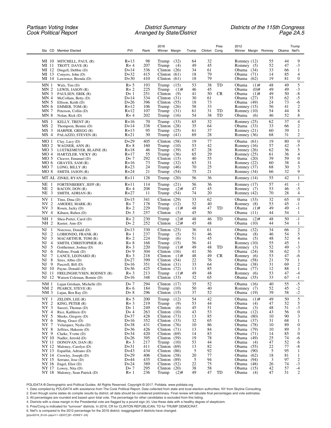| Sta CD Member Elected                                                            | PVI                  | Rank       | 2016<br>Winner Margin                 | Trump    | Clinton Cong | Pres      | 2012<br>Winner Margin Romney      |          | Obama Net% | Trump                 |
|----------------------------------------------------------------------------------|----------------------|------------|---------------------------------------|----------|--------------|-----------|-----------------------------------|----------|------------|-----------------------|
|                                                                                  |                      |            |                                       |          |              |           |                                   |          |            |                       |
| MI 10 MITCHELL, PAUL (R)                                                         | $R+13$               | 98         | Trump<br>(32)                         | 64       | 32           |           | Romney $(12)$                     | 55       | 44         | 9                     |
| MI 11<br>TROTT, DAVE (R)                                                         | $R+4$                | 207        | (4)<br>Trump                          | 49       | 45           |           | Romney (5)                        | 52       | 47         | $-3$                  |
| MI 12 Dingell, Debbie (D)<br>MI 13<br>Conyers, John (D)                          | $D+14$<br>$D+32$     | 336<br>415 | Clinton<br>(26)<br>Clinton<br>(61)    | 34<br>18 | 61<br>79     |           | Obama (34)<br>Obama<br>(71)       | 33<br>14 | 66<br>85   | 1<br>4                |
| MI 14 Lawrence, Brenda (D)                                                       | $D+30$               | 410        | Clinton<br>(61)                       | 18       | 79           |           | Obama<br>(62)                     | 19       | 81         | $\boldsymbol{0}$      |
| MN 1<br>Walz, Tim (D)                                                            | $R + 5$              | 193        | (15)<br>Trump                         | 53       | 38           | TD        | $(1)$ #<br>Obama                  | 48       | 49         | 5                     |
| MN <sub>2</sub><br>LEWIS, JASON (R)                                              | $R + 2$              | 225        | Trump<br>$(1)$ #                      | 46       | 45           |           | Obama<br>$(0)$ #                  | 49       | 49         | $-3$                  |
| MN <sub>3</sub><br>PAULSEN, ERIK (R)<br>MN <sub>4</sub>                          | $D+1$<br>$D+14$      | 251<br>334 | Clinton<br>(9)<br>Clinton<br>(31)     | 41<br>30 | 50<br>61     | CR.       | Obama<br>$(1)$ #<br>Obama<br>(27) | 49<br>35 | 50<br>62   | $-8$<br>-5            |
| McCollum, Betty (D)<br>MN <sub>5</sub><br>Ellison, Keith (D)                     | $D+26$               | 396        | Clinton<br>(55)                       | 18       | 73           |           | Obama<br>(49)                     | 24       | 73         | -6                    |
| MN <sub>6</sub><br>EMMER, TOM (R)                                                | $R+12$               | 106        | Trump<br>(26)                         | 58       | 33           |           | Romney (15)                       | 56       | 41         | $\overline{c}$        |
| MN <sub>7</sub><br>Peterson, Collin (D)                                          | $R+12$               | 107        | Trump<br>(31)                         | 61       | 31           | TD        | Romney $(10)$                     | 54       | 44         | 8                     |
| MN <sub>8</sub><br>Nolan, Rick (D)                                               | $R+4$                | 202        | Trump<br>(16)                         | 54       | 38           | TD        | Obama<br>(6)                      | 46       | 52         | 8                     |
| MS <sub>1</sub><br>KELLY, TRENT (R)<br>MS <sub>2</sub><br>Thompson, Bennie (D)   | $R+16$<br>$D+14$     | 70<br>338  | (33)<br>Trump<br>Clinton<br>(28)      | 65<br>35 | 32<br>64     |           | Romney (25)<br>Obama $(33)$       | 62<br>33 | 37<br>66   | $\overline{4}$<br>2   |
| MS <sub>3</sub><br>HARPER, GREGG (R)                                             | $R + 13$             | 95         | (25)<br>Trump                         | 61       | 37           |           | Romney $(21)$                     | 60       | 39         | 1                     |
| MS <sub>4</sub><br>PALAZZO, STEVEN (R)                                           | $R+21$               | 30         | Trump<br>(41)                         | 69       | 28           |           | Romney (36)                       | 68       | 31         | 2                     |
| MO <sub>1</sub><br>Clay, Lacy $(D)$                                              | $D+29$               | 405        | (58)<br>Clinton                       | 19       | 77           |           | Obama (61)                        | 19       | 80         | $\boldsymbol{0}$      |
| MO <sub>2</sub><br>WAGNER, ANN (R)<br>MO <sub>3</sub><br>LUETKEMEYER, BLAINE (R) | $R + 8$<br>$R+18$    | 160<br>46  | Trump<br>(10)<br>(39)<br>Trump        | 53<br>67 | 42<br>28     |           | Romney $(16)$<br>Romney (26)      | 57<br>62 | 42<br>36   | -5<br>5               |
| MO 4<br>HARTZLER, VICKY (R)                                                      | $R+17$               | 55         | Trump<br>(36)                         | 65       | 29           |           | Romney $(25)$                     | 61       | 36         | 4                     |
| MO <sub>5</sub><br>Cleaver, Emanuel (D)                                          | $D+7$                | 292        | Clinton<br>(15)                       | 40       | 55           |           | Obama $(20)$                      | 39       | 59         | $\boldsymbol{0}$      |
| MO 6<br>GRAVES, SAM (R)                                                          | $R+16$               | 73         | (32)<br>Trump                         | 63       | 31           |           | Romney (22)                       | 60       | 38         | $\overline{4}$        |
| MO 7<br>LONG, BILLY $(R)$<br>$MO_8$<br>SMITH, JASON (R)                          | $R + 23$<br>$R + 24$ | 24<br>21   | Trump<br>(46)<br>(54)<br>Trump        | 70<br>75 | 25<br>21     |           | Romney (37)<br>Romney (34)        | 68<br>66 | 30<br>32   | 3<br>9                |
| MT AL<br>ZINKE, RYAN (R)                                                         | $R+11$               | 128        | Trump<br>(20)                         | 56       | 36           |           | Romney (14)                       | 55       | 42         | $\mathbf{1}$          |
| NE<br>FORTENBERRY, JEFF (R)                                                      | $R+11$               | 114        | (21)<br>Trump                         | 56       | 36           |           | Romney $(17)$                     | 57       | 41         | $-1$                  |
| $\overline{c}$<br>NE<br>BACON, DON (R)                                           | $R+4$                | 208        | $(2)$ #<br>Trump                      | 47       | 45           |           | Romney (7)                        | 53       | 46         | -5                    |
| $\overline{3}$<br>NE<br>SMITH, ADRIAN (R)                                        | $R + 27$             | 11         | Trump<br>(54)                         | 74       | 20           |           | Romney (42)                       | 70       | 28         | 4                     |
| NV 1<br>Titus, Dina (D)                                                          | $D+15$               | 341        | (29)<br>Clinton                       | 33       | 62           |           | Obama (33)                        | 32       | 65         | $\boldsymbol{0}$      |
| $\overline{2}$<br>NV.<br>AMODEI, MARK (R)<br>NV <sub>3</sub>                     | $R+7$<br>$R + 2$     | 178<br>229 | (12)<br>Trump<br>Trump<br>$(1)$ #     | 52<br>48 | 40<br>47     | TD        | Romney (8)<br>Obama<br>$(1)$ #    | 53<br>49 | 45<br>49   | $-1$<br>$-1$          |
| Rosen, Jacky (D)<br>NV 4<br>Kihuen, Ruben (D)                                    | $D+3$                | 257        | (5)<br>Clinton                        | 45       | 50           |           | Obama<br>(11)                     | 44       | 54         | 1                     |
| NH<br>Shea-Porter, Carol (D)<br>-1                                               | $R + 2$              | 230        | $(2)$ #<br>Trump                      | 48       | 46           | TD        | $(2)$ #<br>Obama                  | 48       | 50         | $-1$                  |
| NH 2<br>Kuster, Ann (D)                                                          | $D+2$                | 252        | Clinton<br>$(2)$ #                    | 45       | 48           |           | Obama<br>(10)                     | 44       | 54         | 1                     |
| NJ<br>Norcross, Donald (D)<br>1                                                  | $D+13$               | 330        | (25)<br>Clinton                       | 36       | 61           |           | (32)<br>Obama                     | 34       | 66         | $\overline{c}$        |
| $\overline{2}$<br>NJ<br>LOBIONDO, FRANK (R)<br>3<br>NJ<br>MACARTHUR, TOM (R)     | $R+1$<br>$R + 2$     | 237<br>224 | Trump<br>(5)<br>Trump<br>(6)          | 51<br>51 | 46<br>45     |           | Obama<br>(8)<br>Obama<br>(5)      | 46<br>48 | 54<br>52   | 5<br>4                |
| 4<br>NJ.<br>SMITH, CHRISTOPHER (R)                                               | $R+8$                | 168        | (15)<br>Trump                         | 56       | 41           |           | Romney $(10)$                     | 55       | 45         | 1                     |
| 5<br>NJ<br>Gottheimer, Joshua (D)                                                | $R + 3$              | 220        | Trump<br>$(1)$ #                      | 49       | 48           | TD        | Romney $(3)$                      | 52       | 49         | $-3$                  |
| NJ<br>6<br>Pallone, Frank (D)                                                    | $D+9$                | 304        | Clinton $(16)$                        | 41       | 56           |           | Obama (24)                        | 38       | 62<br>47   | 3                     |
| 7<br>NJ<br>LANCE, LEONARD (R)<br>8<br>NJ<br>Sires, Albio (D)                     | $R + 3$<br>$D+27$    | 218<br>399 | Clinton<br>$(1)$ #<br>Clinton<br>(54) | 48<br>22 | 49<br>76     | <b>CR</b> | Romney $(6)$<br>Obama<br>(58)     | 53<br>21 | 79         | -6<br>1               |
| 9<br>NJ<br>Pascrell, Bill (D)                                                    | $D+16$               | 351        | (31)<br>Clinton                       | 33       | 64           |           | Obama<br>(38)                     | 31       | 69         | 2                     |
| 10<br>NJ.<br>Payne, Donald (D)                                                   | $D+36$               | 425        | Clinton<br>(72)                       | 13       | 85           |           | Obama<br>(77)                     | 12       | 88         | 1                     |
| NJ<br>-11<br>FRELINGHUYSEN, RODNEY (R)                                           | $R+3$                | 213        | Trump<br>$(1)$ #                      | 49       | 48           |           | Romney $(6)$                      | 53       | 47         | $-4$                  |
| NJ.<br>12 Watson Coleman, Bonnie (D)                                             | $D+16$               | 348        | Clinton $(33)$                        | 32       | 65           |           | Obama<br>(35)                     | 33       | 67         | $-1$                  |
| NM 1<br>Lujan Grisham, Michelle (D)<br>NM <sub>2</sub><br>PEARCE, STEVE (R)      | $D+7$<br>$R+6$       | 294<br>184 | Clinton $(17)$<br>Trump $(10)$        | 35<br>50 | 52<br>40     |           | Obama (16)<br>Romney (7)          | 40<br>52 | 55<br>45   | $-5$<br>$-2$          |
| NM <sub>3</sub><br>Lujan, Ben Ray (D)                                            | $D+8$                | 296        | Clinton $(15)$                        | 37       | 52           |           | Obama<br>(19)                     | 39       | 58         | $\mbox{-}2$           |
| NY <sub>1</sub><br>ZELDIN, LEE (R)                                               | $R + 5$              | 200        | Trump<br>(12)                         | 54       | 42           |           | Obama<br>$(1)$ #                  | 49       | 50         | $\sqrt{5}$            |
| NY 2<br>KING, PETER (R)                                                          | $R + 3$              | 219        | Trump<br>(9)                          | 53       | 44           |           | Obama<br>(4)                      | 47       | 52         | 5                     |
| NY <sub>3</sub><br>Suozzi, Thomas (D)                                            | $D+1$                | 249        | (6)<br>Clinton                        | 45       | 51           |           | Obama<br>(3)                      | 48       | 51         | $-3$                  |
| NY 4<br>Rice, Kathleen (D)<br>Meeks, Gregory (D)                                 | $D+4$<br>$D+37$      | 263        | Clinton<br>(10)                       | 43       | 53           |           | Obama<br>(12)                     | 43<br>10 | 56<br>90   | $\boldsymbol{0}$<br>3 |
| NY 5<br>${\rm NY}~6$<br>Meng, Grace (D)                                          | $D+16$               | 428<br>352 | Clinton<br>(73)<br>Clinton $(33)$     | 13<br>32 | 85<br>65     |           | Obama<br>(80)<br>Obama<br>(37)    | 31       | 68         | $\mathbf{1}$          |
| NY 7<br>Velazquez, Nydia (D)                                                     | $D+38$               | 431        | Clinton<br>(76)                       | 10       | 86           |           | Obama<br>(78)                     | 10       | 89         | $\boldsymbol{0}$      |
| NY 8<br>Jeffries, Hakeem (D)                                                     | $D+36$               | 426        | Clinton $(71)$                        | 13       | 84           |           | Obama<br>(79)                     | 10       | 89         | 3                     |
| NY 9<br>Clarke, Yvette (D)                                                       | $D+34$               | 420        | Clinton $(69)$                        | 14       | 83           |           | Obama<br>(71)                     | 14       | 85         | $\boldsymbol{0}$      |
| NY 10<br>Nadler, Jerrold (D)<br>NY 11                                            | $D+26$<br>$R + 3$    | 395<br>217 | Clinton $(59)$<br>Trump<br>(10)       | 19<br>53 | 78<br>44     |           | Obama<br>(49)<br>Obama            | 25<br>47 | 74<br>52   | -6<br>6               |
| DONOVAN, DAN (R)<br>NY 12<br>Maloney, Carolyn (D)                                | $D+31$               | 411        | Clinton<br>(69)                       | 13       | 82           |           | (4)<br>Obama<br>(55)              | 22       | 77         | $-8$                  |
| NY 13<br>Espaillat, Adriano (D)                                                  | $D+43$               | 434        | Clinton $(86)$                        | 5        | 92           |           | Obama<br>(90)                     | 5        | 95         | $\mathbf{1}$          |
| Crowley, Joseph (D)<br>NY 14                                                     | $D+29$               | 406        | Clinton $(58)$                        | 20       | 77           |           | Obama<br>(62)                     | 18       | 81         | $\mathbf{1}$          |
| NY 15<br>Serrano, Jose (D)                                                       | $D+44$               | 435        | Clinton $(89)$                        | 5        | 94           |           | Obama<br>(94)                     | 3        | 97         | $\overline{c}$        |
| NY 16<br>Engel, Eliot (D)<br>NY 17 Lowey, Nita (D)                               | $D+24$<br>$D+7$      | 389<br>295 | Clinton $(52)$<br>Clinton $(20)$      | 22<br>38 | 75<br>58     |           | Obama<br>(48)<br>Obama $(15)$     | 26<br>42 | 74<br>57   | $-3$<br>$-4$          |
| NY 18 Maloney, Sean Patrick (D)                                                  | $R+1$                | 236        | Trump<br>$(2)$ #                      | 49       | 47           | TD        | Obama<br>(4)                      | 47       | 51         | $\overline{2}$        |

POLIDATA ® Demographic and Political Guides. All Rights Reserved. Copyright © 2017. Polidata. www.polidata.org

1. Data compiled by POLIDATA with assistance from The Cook Political Report. Data collected from state and local election authorities. NY from Skyline Consulting.

2. Even though some states do compile results by district, all data should be considered preliminary. Final review will tabulate final percentages and vote estimates.

3. All percentages are rounded and based upon total vote. The percentage for other candidates is excluded from this listing.

4. Districts with a close margin in the Presidential vote are flagged by a pound sign (#). Use these data with a healthy degree of skepticism.

5. Pres/Cong is indicated for "turnover" districts. In 2016, CR for CLINTON REPUBLICAN; TD for TRUMP DEMOCRAT.

6. Net% is compared to the 2012 percentage for the 2016 district; reaggregated if districts have changed.

[prpvi2016\_81cH~pspvi11~QD07] [81~EDKEY~2A]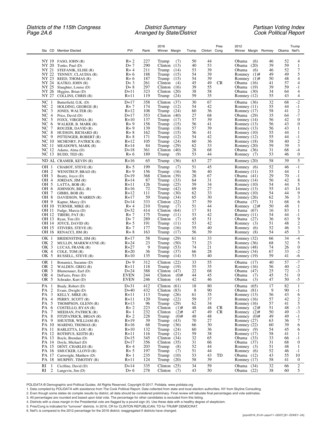### *Districts of the 115th Congress District Summary Partisan Voting Index Page 2A.6 Arranged by State/District Cook Political Report*

|                                                                  |                    |            | 2016                                   |          | Pres            | 2012                                         | Trump                                        |
|------------------------------------------------------------------|--------------------|------------|----------------------------------------|----------|-----------------|----------------------------------------------|----------------------------------------------|
| Sta CD Member Elected                                            | PVI                | Rank       | Winner Margin                          | Trump    | Clinton Cong    | Winner Margin Romney                         | Obama Net%                                   |
| NY 19 FASO, JOHN (R)                                             | $R+2$              | 227        | (7)<br>Trump                           | 50       | 44              | Obama<br>(6)<br>46                           | 52<br>4                                      |
| NY 20 Tonko, Paul (D)                                            | $D+7$              | 290        | (13)<br>Clinton                        | 40       | 53              | (20)<br>39<br>Obama                          | 59<br>1                                      |
| NY 21 STEFANIK, ELISE (R)                                        | $R+4$              | 211        | Trump<br>(14)                          | 53       | 39              | Obama<br>(6)<br>46                           | 7<br>52                                      |
| NY 22<br>TENNEY, CLAUDIA (R)                                     | $R+6$              | 188        | Trump<br>(15)                          | 54       | 39              | Romney<br>$(1)$ #<br>49                      | 49<br>5                                      |
| NY 23 REED, THOMAS (R)                                           | $R+6$              | 187        | Trump<br>(15)                          | 54       | 39              | 50<br>Romney $(1)$ #                         | 48<br>4                                      |
| NY 24<br>KATKO, JOHN (R)<br>NY 25                                | $D+3$<br>$D+8$     | 261<br>297 | Clinton<br>(4)<br>Clinton<br>(16)      | 45<br>39 | 49<br>CR.<br>55 | Obama $(16)$<br>41<br>39<br>Obama (19)       | 57<br>4<br>59<br>$-1$                        |
| Slaughter, Louise (D)<br>NY 26<br>Higgins, Brian (D)             | $D+11$             | 323        | (20)<br>Clinton                        | 38       | 58              | Obama (30)<br>34                             | 64<br>$\overline{4}$                         |
| NY 27<br>COLLINS, CHRIS (R)                                      | R+11               | 119        | Trump<br>(24)                          | 59       | 35              | Romney (12)<br>55                            | 43<br>$\overline{4}$                         |
| NC<br>-1<br>Butterfield, G.K. (D)                                | $D+17$             | 358        | (37)<br>Clinton                        | 30       | 67              | 32<br>Obama (36)                             | $-2$<br>68                                   |
| NC<br>$\overline{c}$<br>HOLDING, GEORGE (R)                      | $R+7$              | 174        | Trump<br>(12)                          | 54       | 42              | Romney (11)<br>55                            | 44<br>$-1$                                   |
| 3<br>NC<br>JONES, WALTER (R)                                     | $R+12$             | 108        | (24)<br>Trump                          | 60       | 36              | 58<br>Romney (17)                            | $\overline{c}$<br>41                         |
| NC<br>$\overline{4}$<br>Price, David (D)<br>NC <sub>5</sub>      | $D+17$<br>$R+10$   | 353<br>137 | Clinton<br>(40)<br>Trump<br>(17)       | 27<br>57 | 68<br>39        | 35<br>Obama $(29)$<br>Romney (14)<br>56      | $-7$<br>64<br>$\boldsymbol{0}$<br>42         |
| FOXX, VIRGINIA (R)<br>NC $6$<br>WALKER, B. MARK (R)              | $R + 9$            | 158        | Trump<br>(15)                          | 56       | 41              | Romney (13)<br>56                            | 43<br>$\boldsymbol{0}$                       |
| 7<br>NC.<br>ROUZER, DAVID (R)                                    | $R + 9$            | 139        | Trump<br>(18)                          | 57       | 39              | Romney $(13)$<br>56                          | 43<br>1                                      |
| NC 8<br>HUDSON, RICHARD (R)                                      | $R+8$              | 162        | Trump<br>(15)                          | 56       | 41              | 55<br>Romney (10)                            | 44<br>1                                      |
| NC <sub>9</sub><br>PITTENGER, ROBERT (R)                         | $R+8$              | 171        | Trump<br>(12)                          | 54       | 42              | 55<br>Romney (12)                            | 44<br>$-1$                                   |
| NC 10 MCHENRY, PATRICK (R)                                       | $R+12$             | 105        | (24)<br>Trump                          | 60       | 36              | 58<br>Romney (18)                            | $\boldsymbol{2}$<br>40                       |
| NC 11<br>MEADOWS, MARK (R)                                       | R+14               | 84         | (29)<br>Trump                          | 62       | 33              | 59<br>Romney (20)                            | 3<br>39                                      |
| NC 12<br>Adams, Alma (D)<br>$NC$ 13 BUDD, TED $(R)$              | $D+18$<br>$R+6$    | 361<br>189 | (40)<br>Clinton<br>Trump<br>(9)        | 28<br>53 | 68<br>44        | 31<br>Obama (36)<br>Romney (7)<br>53         | 68<br>$-4$<br>$\boldsymbol{0}$<br>46         |
| ND AL CRAMER, KEVIN (R)                                          | $R+16$             | 65         | (36)<br>Trump                          | 63       | 27              | 58<br>Romney (20)                            | 5<br>39                                      |
|                                                                  |                    |            |                                        |          | 45              | 52                                           | 46                                           |
| OН<br>1<br>CHABOT, STEVE (R)<br>OH 2<br>WENSTRUP, BRAD (R)       | $R + 5$<br>$R + 9$ | 199<br>156 | (7)<br>Trump<br>Trump<br>(16)          | 51<br>56 | 40              | Romney (6)<br>55<br>Romney (11)              | $-1$<br>44<br>1                              |
| OH <sub>3</sub><br>Beatty, Joyce (D)                             | $D+19$             | 368        | (39)<br>Clinton                        | 28       | 67              | 29<br>Obama (41)                             | 70<br>$-1$                                   |
| OH 4<br>JORDAN, $JIM(R)$                                         | $R+14$             | 87         | Trump<br>(33)                          | 64       | 31              | Romney (14)<br>56                            | 8<br>42                                      |
| OH 5<br>LATTA, $BOB(R)$                                          | R+11               | 126        | Trump<br>(25)                          | 59       | 34              | 54<br>Romney (10)                            | 44<br>5                                      |
| OH 6<br>JOHNSON, BILL (R)                                        | $R+16$             | 72         | Trump<br>(42)                          | 69       | 27              | 55<br>Romney (13)                            | 43<br>14                                     |
| OH 7<br>$GIBBS$ , BOB $(R)$<br>OH <sub>8</sub>                   | $R+12$             | 111<br>59  | Trump<br>(30)                          | 62       | 33              | 54<br>Romney $(10)$<br>62                    | 44<br>9<br>3<br>36                           |
| DAVIDSON, WARREN (R)<br>OH 9<br>Kaptur, Marcy (D)                | $R+17$<br>$D+14$   | 333        | Trump<br>(34)<br>Clinton<br>(22)       | 65<br>37 | 30<br>59        | Romney (26)<br>Obama (37)<br>31              | 68<br>6                                      |
| OH 10 TURNER, MIKE (R)                                           | $R+4$              | 210        | Trump<br>(7)                           | 51       | 44              | Romney $(2)$ #<br>50                         | 48<br>1                                      |
| OH 11<br>Fudge, Marcia (D)                                       | $D+32$             | 414        | Clinton<br>(64)                        | 17       | 81              | Obama $(67)$<br>16                           | 83<br>1                                      |
| OH 12 TIBERI, PAT (R)                                            | $R+7$              | 175        | Trump<br>(11)                          | 53       | 42              | Romney (11)<br>54                            | 44<br>$-1$                                   |
| $OH$ 13 Ryan, Tim $(D)$                                          | $D+7$              | 289        | Clinton<br>(7)                         | 45       | 51              | Obama $(27)$<br>36                           | 9<br>63                                      |
| OH 14 JOYCE, DAVID (R)                                           | $R + 5$            | 191        | Trump<br>(11)                          | 53       | 42<br>40        | Romney (3)<br>51                             | $\sqrt{2}$<br>48<br>3<br>46                  |
| OH 15 STIVERS, STEVE (R)<br>OH 16 RENACCI, JIM (R)               | $R+7$<br>$R+8$     | 177<br>163 | Trump<br>(16)<br>Trump<br>(17)         | 55<br>56 | 39              | Romney (6)<br>52<br>54<br>Romney (8)         | 3<br>45                                      |
| OK 1<br>BRIDENSTINE, JIM (R)                                     | $R+17$             | 58         | (29)<br>Trump                          | 61       | 33              | Romney (32)<br>66                            | 34<br>$-4$                                   |
| OK 2<br>MULLIN, MARKWAYNE (R)                                    | $R + 24$           | 23         | Trump<br>(50)                          | 73       | 23              | Romney (36)<br>68                            | 32<br>5                                      |
| OK 3<br>LUCAS, FRANK (R)                                         | $R + 27$           | 9          | Trump<br>(53)                          | 74       | 21              | 74<br>Romney (48)                            | $\boldsymbol{0}$<br>26                       |
| OK 4<br>COLE, TOM (R)                                            | $R+20$             | 36         | (37)<br>Trump                          | 66       | 28              | 67<br>Romney (34)                            | 33<br>$-2$                                   |
| OK 5<br>RUSSELL, STEVE (R)                                       | $R+10$             | 135        | Trump<br>(14)                          | 53       | 40              | 59<br>Romney (19)                            | 41<br>-6                                     |
| OR<br>-1<br>Bonamici, Suzanne (D)                                | $D+9$              | 312        | (22)<br>Clinton                        | 33       | 55              | Obama $(17)$<br>40                           | $-7$<br>57                                   |
| OR <sub>2</sub><br>WALDEN, GREG (R)                              | $R+11$             | 118        | Trump<br>(19)                          | 55       | 35              | Romney (16)<br>56                            | $-2$<br>40                                   |
| 3<br>OR<br>Blumenauer, Earl (D)<br>$\overline{4}$<br>OR          | $D+24$<br>EVEN     | 388<br>244 | Clinton<br>(47)<br>Clinton<br>$(0)$ #  | 22<br>44 | 68<br>45        | Obama (47)<br>25<br>Obama<br>(7)<br>45       | 72<br>$-3$<br>51<br>$\theta$                 |
| DeFazio, Peter (D)<br>OR 5<br>Schrader, Kurt (D)                 | <b>EVEN</b>        | 246        | Clinton<br>(4)                         | 42       | 46              | 47<br>Obama<br>(3)                           | 50<br>$-5$                                   |
| PА<br>-1<br>Brady, Robert (D)                                    | $D+31$             | 412        | Clinton $(61)$                         | 18       | 80              | Obama (65)<br>17                             | 82                                           |
| PA<br>2<br>Evans, Dwight (D)                                     | D+40               | 432        | Clinton<br>(83)                        | 8        | 90              | Obama (81)                                   | 90<br>9<br>$-1$                              |
| PA <sub>3</sub><br>KELLY, MIKE (R)                               | $R+11$             | 113        | (26)<br>Trump                          | 61       | 35              | Romney (13)<br>56                            | 43<br>6                                      |
| PA 4<br>PERRY, SCOTT (R)                                         | $R+11$             | 120        | Trump<br>(22)                          | 59       | 37              | Romney (16)<br>57                            | $\overline{c}$<br>42                         |
| 5<br>PA<br>THOMPSON, GLENN (R)                                   | $R+13$             | 96         | (29)<br>Trump                          | 62       | 34              | Romney $(16)$<br>57                          | $\sqrt{5}$<br>41                             |
| PA 6<br>COSTELLO, RYAN (R)                                       | $R + 2$            | 223        | $(1)$ #<br>Clinton                     | 48       | 48<br>CR.       | 51<br>Romney $(2)$ #                         | $-3$<br>48                                   |
| PA<br>7<br>MEEHAN, PATRICK (R)<br>PA 8<br>FITZPATRICK, BRIAN (R) | $R+1$<br>$R+2$     | 232<br>228 | Clinton<br>$(2)$ #<br>$(0)$ #<br>Trump | 47<br>48 | CR<br>49<br>48  | Romney $(2)$ #<br>50<br>Romney $(0)$ #<br>49 | $-3$<br>49<br>$-1$<br>49                     |
| PA <sub>9</sub><br>SHUSTER, WILLIAM (R)                          | R+19               | 39         | Trump<br>(43)                          | 70       | 27              | Romney (27)<br>63                            | $\overline{7}$<br>36                         |
| PA 10 MARINO, THOMAS (R)                                         | $R+16$             | 68         | Trump<br>(36)                          | 66       | 30              | Romney (22)<br>60                            | 39<br>6                                      |
| PA 11<br>BARLETTA, LOU (R)                                       | $R+10$             | 132        | (24)<br>Trump                          | 60       | 36              | Romney (9)<br>54                             | 45<br>6                                      |
| PA 12<br>ROTHFUS, KEITH (R)                                      | $R+11$             | 116        | Trump<br>(21)                          | 59       | 38              | Romney (17)<br>58                            | 41<br>$\mathbf{1}$                           |
| PA 13<br>Boyle, Brendan (D)                                      | $D+15$<br>$D+17$   | 345        | Clinton<br>(34)                        | 32       | 65              | Obama (33)<br>33<br>31                       | $-1$<br>66                                   |
| PA 14 Doyle, Michael (D)<br>PA 15<br>DENT, CHARLES (R)           | $R+4$              | 356<br>203 | Clinton<br>(35)<br>Trump<br>(8)        | 31<br>52 | 66<br>44        | Obama (37)<br>Romney (3)<br>51               | $\boldsymbol{0}$<br>68<br>48<br>$\mathbf{1}$ |
| PA 16<br>SMUCKER, LLOYD (R)                                      | $R + 5$            | 197        | Trump<br>(7)                           | 51       | 44              | Romney (6)<br>52                             | 46<br>$-1$                                   |
| PA 17<br>Cartwright, Matthew (D)                                 | $R+1$              | 235        | (10)<br>Trump                          | 53       | 43<br>TD        | Obama $(12)$<br>43                           | 55<br>10                                     |
| PA 18<br>MURPHY, TIMOTHY (R)                                     | $R+11$             | 124        | (20)<br>Trump                          | 58       | 39              | 58<br>Romney (17)                            | 41<br>$\boldsymbol{0}$                       |
| RI<br>Cicilline, David (D)<br>$\mathbf{1}$                       | $D+14$             | 335        | Clinton $(25)$                         | 34       | 59              | Obama (34)<br>32                             | 66<br>$\overline{2}$                         |
| $\overline{2}$<br>RI<br>Langevin, $\text{Jim}$ (D)               | $D+6$              | 278        | Clinton<br>(7)                         | 43       | 50              | Obama (22)<br>38                             | 5<br>60                                      |

POLIDATA ® Demographic and Political Guides. All Rights Reserved. Copyright © 2017. Polidata. www.polidata.org

1. Data compiled by POLIDATA with assistance from The Cook Political Report. Data collected from state and local election authorities. NY from Skyline Consulting.

2. Even though some states do compile results by district, all data should be considered preliminary. Final review will tabulate final percentages and vote estimates.

3. All percentages are rounded and based upon total vote. The percentage for other candidates is excluded from this listing.

4. Districts with a close margin in the Presidential vote are flagged by a pound sign (#). Use these data with a healthy degree of skepticism.<br>5. Pres/Cong is indicated for "turnover" districts. In 2016, CR for CLINTON REP

6. Net% is compared to the 2012 percentage for the 2016 district; reaggregated if districts have changed.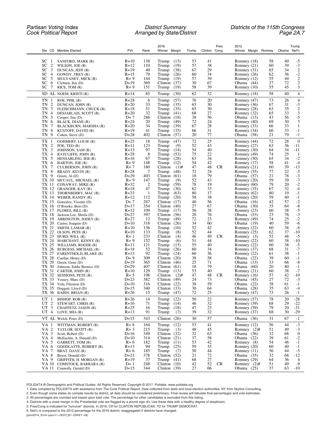| Sta CD Member Elected                                                    | PVI                | Rank           | 2016<br>Winner Margin              | Trump    | Clinton Cong | Pres      | 2012<br>Winner Margin Romney |          | Obama Net% | Trump                     |
|--------------------------------------------------------------------------|--------------------|----------------|------------------------------------|----------|--------------|-----------|------------------------------|----------|------------|---------------------------|
|                                                                          |                    |                |                                    |          |              |           |                              |          |            |                           |
| SС<br>SANFORD, MARK (R)<br>-1                                            | $R+10$             | 138            | Trump $(13)$                       | 53       | 41           |           | Romney (18)                  | 58       | 40         | $-5$                      |
| SС<br>2<br>WILSON, JOE (R)                                               | $R+12$             | 110            | (19)<br>Trump                      | 57       | 38           |           | Romney $(21)$                | 60       | 39         | $-3$<br>$-2$<br>$-2$<br>2 |
| $\mathfrak{Z}$<br>SC<br>DUNCAN, JEFF (R)                                 | $R+19$             | 40             | Trump<br>(38)                      | 67       | 29           |           | Romney (31)                  | 65       | 34         |                           |
| SC<br>$\overline{4}$<br>GOWDY, TREY (R)<br>5<br>SС<br>MULVANEY, MICK (R) | $R+15$<br>$R + 9$  | 79<br>144      | (26)<br>Trump<br>(19)<br>Trump     | 60<br>57 | 34<br>39     |           | Romney (26)<br>Romney (12)   | 62<br>55 | 36<br>44   |                           |
| SС<br>6<br>Clyburn, $\text{Jim}$ (D)                                     | $D+19$             | 369            | Clinton<br>(37)                    | 30       | 67           |           | Obama (44)                   | 27       | 72         | $\sqrt{2}$                |
| SС<br>7<br>RICE, TOM(R)                                                  | $R+9$              | 151            | Trump<br>(19)                      | 58       | 39           |           | Romney (10)                  | 55       | 45         | 3                         |
| SD AL NOEM, KRISTI (R)                                                   | $R+14$             | 85             | Trump<br>(30)                      | 62       | 32           |           | Romney (18)                  | 58       | 40         | $\overline{4}$            |
| TN<br>$ROE$ , $PHIL(R)$<br>1                                             | $R+28$             | 6              | Trump<br>(57)                      | 76       | 20           |           | Romney (47)                  | 73       | 26         | $\overline{4}$            |
| TN<br>$\overline{c}$<br>DUNCAN, JOHN (R)                                 | $R+20$             | 33             | Trump<br>(35)                      | 65       | 30           |           | Romney (36)                  | 67       | 31         | $-3$                      |
| 3<br>TN<br>FLEISCHMANN, CHUCK (R)                                        | $R+18$             | 51             | Trump<br>(35)                      | 65       | 30           |           | Romney (28)                  | 63       | 35         | $\sqrt{2}$                |
| TN<br>4<br>DESJARLAIS, SCOTT (R)                                         | $R + 20$           | 32             | Trump<br>(41)<br>Clinton           | 68       | 27           |           | Romney (32)                  | 65       | 33<br>56   | $\mathfrak{Z}$            |
| TN<br>5<br>Cooper, $Jim (D)$<br>TN<br>6<br>BLACK, DIANE (R)              | $D+7$<br>$R + 24$  | 286<br>20      | (18)<br>Trump<br>(49)              | 38<br>72 | 56<br>24     |           | Obama $(13)$<br>Romney (40)  | 43<br>69 | 30         | $-5$<br>3                 |
| TN<br>7<br>BLACKBURN, MARSHA (R)                                         | $R + 20$           | 34             | (39)<br>Trump                      | 67       | 28           |           | Romney (33)                  | 66       | 33         | 1                         |
| TN<br>8<br>KUSTOFF, DAVID (R)                                            | $R+19$             | 41             | Trump<br>(35)                      | 66       | 31           |           | Romney (34)                  | 66       | 33         | $-1$                      |
| TN 9<br>Cohen, Steve (D)                                                 | $D+28$             | 402            | Clinton<br>(57)                    | 20       | 77           |           | Obama (58)                   | 21       | 79         | $-1$                      |
| TX<br>1<br>GOHMERT, LOUIE (R)                                            | $R + 25$           | 18             | (47)<br>Trump                      | 72       | 25           |           | Romney (44)                  | 72       | 28         | $\boldsymbol{0}$          |
| TX 2<br>POE, TED $(R)$<br>TX 3<br>JOHNSON, SAM (R)                       | R+11<br>$R + 13$   | 123<br>97      | Trump<br>(9)<br>Trump<br>(14)      | 52<br>54 | 43<br>40     |           | Romney (27)<br>Romney (30)   | 63<br>64 | 36<br>34   | -11<br>$-11$              |
| TX 4<br>RATCLIFFE, JOHN (R)                                              | $R + 28$           | 8              | Trump<br>(53)                      | 75       | 22           |           | Romney (49)                  | 74       | 25         | -1                        |
| TX 5<br>HENSARLING, JEB (R)                                              | $R+16$             | 67             | Trump<br>(28)                      | 63       | 34           |           | Romney (30)                  | 65       | 34         | $-2$                      |
| TX 6<br>BARTON, JOE (R)                                                  | $R + 9$            | 148            | Trump<br>(12)                      | 54       | 42           |           | Romney (17)                  | 58       | 41         | $-4$                      |
| TX 7<br>CULBERSON, JOHN (R)                                              | $R+7$              | 180            | Clinton<br>$(1)$ #                 | 47       | 48           | CR.       | Romney (21)                  | 60       | 39         | $-13$                     |
| TX 8<br>BRADY, KEVIN (R)                                                 | $R + 28$           | 7              | Trump<br>(48)                      | 72       | 24           |           | Romney (55)                  | 77       | 22         | $-5$                      |
| TX 9<br>Green, $Al(D)$<br>TX 10 MCCAUL, MICHAEL (R)                      | $D+29$<br>$R+9$    | 403<br>147     | Clinton<br>(61)<br>Trump<br>(9)    | 18<br>52 | 79<br>43     |           | Obama (57)<br>Romney $(20)$  | 21<br>59 | 78<br>39   | $-3 - 7$                  |
| TX 11<br>CONAWAY, MIKE (R)                                               | $R + 32$           | $\overline{2}$ | Trump<br>(59)                      | 78       | 19           |           | Romney (60)                  | 79       | 20         | $-2$                      |
| TX 12 GRANGER, KAY (R)                                                   | $R+18$             | 47             | (30)<br>Trump                      | 62       | 33           |           | Romney (35)                  | 67       | 32         | $-4$                      |
| TX 13 THORNBERRY, MAC (R)                                                | $R + 33$           | 1              | Trump<br>(63)                      | 80       | 17           |           | Romney $(62)$                | 80       | 19         | $-1$                      |
| TX 14 WEBER, RANDY (R)                                                   | $R+12$             | 112            | (20)<br>Trump                      | 58       | 38           |           | Romney $(20)$                | 59       | 40         | $-1$                      |
| TX 15 Gonzalez, Vicente (D)<br>TX 16 O'Rourke, Beto (D)                  | $D+7$<br>$D+17$    | 287<br>354     | (17)<br>Clinton<br>Clinton<br>(40) | 40<br>27 | 56<br>67     |           | Obama $(16)$<br>Obama $(30)$ | 42<br>35 | 57<br>64   | $-2$<br>$\text{-}8$       |
| TX 17 FLORES, BILL (R)                                                   | $R+12$             | 109            | Trump<br>(17)                      | 56       | 38           |           | Romney $(23)$                | 60       | 38         | $-5$                      |
| TX 18 Jackson Lee, Sheila (D)                                            | $D+27$             | 397            | (56)<br>Clinton                    | 20       | 76           |           | Obama (53)                   | 23       | 76         | $-3$<br>$-2$              |
| TX 19 ARRINGTON, JODEY (R)                                               | $R + 27$           | 12             | Trump<br>(49)                      | 72       | 23           |           | Romney (49)                  | 74       | 25         |                           |
| TX 20 Castro, Joaquin (D)                                                | $D+10$             | 318            | Clinton<br>(26)                    | 34       | 60           |           | Obama (19)                   | 40       | 59         | $-6$                      |
| TX 21<br>SMITH, LAMAR (R)<br>TX 22 OLSON, PETE (R)                       | $R+10$<br>$R+10$   | 136<br>133     | Trump<br>(10)<br>Trump<br>(8)      | 52<br>52 | 42<br>44     |           | Romney (22)<br>Romney (25)   | 60<br>62 | 38<br>37   | $-8$<br>-10               |
| TX 23 HURD, WILL (R)                                                     | $R+1$              | 233            | Clinton<br>(4)                     | 46       | 49           | CR.       | Romney $(3)$                 | 51       | 48         | -5                        |
| TX 24 MARCHANT, KENNY (R)                                                | $R + 9$            | 152            | Trump<br>(6)                       | 51       | 44           |           | Romney (22)                  | 60       | 38         | $-10$                     |
| TX 25 WILLIAMS, ROGER (R)                                                | R+11               | 121            | Trump<br>(15)                      | 55       | 40           |           | Romney (22)                  | 60       | 38         | $-5$                      |
| TX 26 BURGESS, MICHAEL (R)                                               | $R+18$             | 52             | Trump<br>(26)                      | 60       | 34           |           | Romney (37)                  | 68       | 31         | $-7$                      |
| TX 27<br>FARENTHOLD, BLAKE (R)                                           | $R+13$<br>$D+9$    | 92<br>309      | (24)<br>Trump<br>Clinton<br>(20)   | 60<br>38 | 36<br>58     |           | Romney (22)                  | 61<br>39 | 38<br>60   | $-1$<br>$-1$              |
| $TX$ 28 Cuellar, Henry (D)<br>TX 29<br>Green, Gene (D)                   | $D+19$             | 365            | Clinton<br>(46)                    | 25       | 71           |           | Obama $(22)$<br>Obama (33)   | 33       | 66         | $-8$                      |
| TX 30<br>Johnson, Eddie Bernice (D)                                      | $D+29$             | 407            | Clinton<br>(61)                    | 18       | 79           |           | Obama $(60)$                 | 20       | 80         | $-1$                      |
| TX 31<br>CARTER, JOHN (R)                                                | $R+10$             | 129            | Trump<br>(13)                      | 53       | 40           |           | Romney $(21)$                | 60       | 38         | $-7$                      |
| TX 32 SESSIONS, PETE (R)                                                 | $R + 5$            | 196            | Clinton<br>$(2)$ #                 | 47       | 48           | <b>CR</b> | Romney (16)                  | 57       | 42         | $-10$                     |
| TX 33 Veasey, Marc (D)                                                   | $D+23$<br>$D+10$   | 382<br>316     | Clinton<br>(49)<br>Clinton $(22)$  | 24<br>38 | 73<br>59     |           | Obama (45)<br>Obama (22)     | 27<br>38 | 72<br>61   | $-3$<br>$-1$              |
| TX 34 Vela, Filemon (D)<br>TX 35 Doggett, Lloyd (D)                      | $D+15$             | 340            | Clinton $(33)$                     | 30       | 64           |           | Obama (28)                   | 35       | 63         | $-4$                      |
| TX 36 BABIN, BRIAN (R)                                                   | $R+26$             | 15             | Trump<br>(47)                      | 72       | 25           |           | Romney (47)                  | 73       | 26         | $-1$                      |
| UT<br>BISHOP, ROB (R)<br>-1                                              | $R+26$             | 14             | (22)<br>Trump                      | 50       | $22\,$       |           | Romney (57)                  | 78       | 20         | $-28$                     |
| UT 2<br>STEWART, CHRIS (R)                                               | R+16               | 71             | Trump<br>(14)                      | 46       | 32           |           | Romney (39)                  | 68       | 29         | $-22$                     |
| UT <sub>3</sub><br>CHAFFETZ, JASON (R)<br>UT $4$ LOVE, MIA (R)           | $R + 25$<br>$R+13$ | 16<br>91       | Trump<br>(18)<br>Trump<br>(7)      | 47<br>39 | 23<br>32     |           | Romney (59)<br>Romney (37)   | 79<br>68 | 20<br>30   | $-31$<br>$-29$            |
| VT AL Welch, Peter (D)                                                   | $D+15$             | 343            | (26)<br>Clinton                    | 30       | 57           |           | Obama (36)                   | 31       | 67         | $-1$                      |
| VA 1<br>WITTMAN, ROBERT (R)                                              | $R + 8$            | 164            | Trump<br>(12)                      | 53       | 41           |           | Romney (12)                  | 56       | 44         | $\text{-}3$               |
| VA 2<br>TAYLOR, SCOTT (R)                                                | $R+3$              | 215            | Trump<br>(3)                       | 48       | 45           |           | Romney $(2)$ #               | 51       | 49         | $\text{-}3$               |
| VA 3<br>Scott, Robert (D)                                                | $D+16$             | 349            | Clinton $(32)$                     | 32       | 63           |           | Obama $(36)$                 | 32       | 68         | $\boldsymbol{0}$          |
| VA 4<br>McEachin, A. Donald (D)                                          | $D+10$             | 314            | Clinton<br>(21)                    | 37       | 58           |           | Obama (22)                   | 39       | 61         | $-2$                      |
| VA 5<br>GARRETT, TOM (R)<br>VA 6                                         | $R+6$              | 182<br>94      | Trump<br>(11)                      | 53<br>59 | 42<br>35     |           | Romney (8)                   | 54<br>60 | 46<br>40   | $-1$<br>$-1$              |
| GOODLATTE, ROBERT (R)<br>VA 7<br>BRAT, DAVE (R)                          | $R+13$<br>$R+6$    | 185            | Trump<br>(25)<br>Trump<br>(7)      | 50       | 44           |           | Romney (20)<br>Romney $(11)$ | 56       | 44         | $-5$                      |
| VA 8<br>Beyer, Donald (D)                                                | $D+21$             | 378            | Clinton $(52)$                     | 21       | 72           |           | Obama $(35)$                 | 32       | 68         | $-12$                     |
| VA 9<br>GRIFFITH, H. MORGAN (R)                                          | $R+19$             | 37             | Trump<br>(41)                      | 68       | 27           |           | Romney (29)                  | 64       | 36         | $\overline{4}$            |
| VA 10 COMSTOCK, BARBARA (R)                                              | $D+1$              | 248            | Clinton $(10)$                     | 42       | 52           | CR        | Romney $(2)$ #               | 51       | 49         | $-9$                      |
| VA 11 Connolly, Gerald (D)                                               | $D+15$             | 344            | Clinton $(39)$                     | 27       | 66           |           | Obama $(25)$                 | 37       | 63         | $-10$                     |

POLIDATA ® Demographic and Political Guides. All Rights Reserved. Copyright © 2017. Polidata. www.polidata.org

1. Data compiled by POLIDATA with assistance from The Cook Political Report. Data collected from state and local election authorities. NY from Skyline Consulting.

2. Even though some states do compile results by district, all data should be considered preliminary. Final review will tabulate final percentages and vote estimates.

3. All percentages are rounded and based upon total vote. The percentage for other candidates is excluded from this listing.

4. Districts with a close margin in the Presidential vote are flagged by a pound sign (#). Use these data with a healthy degree of skepticism.

5. Pres/Cong is indicated for "turnover" districts. In 2016, CR for CLINTON REPUBLICAN; TD for TRUMP DEMOCRAT.

6. Net% is compared to the 2012 percentage for the 2016 district; reaggregated if districts have changed.

[prpvi2016\_81cH~pspvi11~QD07] [81~EDKEY~2A]